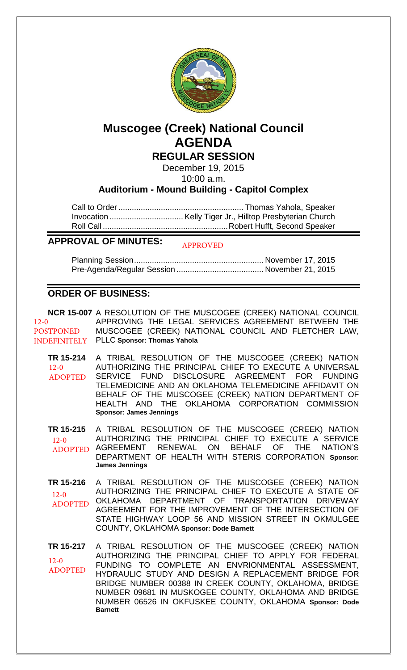

# **Muscogee (Creek) National Council AGENDA**

**REGULAR SESSION**

December 19, 2015

10:00 a.m.

# **Auditorium - Mound Building - Capitol Complex**

Call to Order ........................................................ Thomas Yahola, Speaker Invocation ................................. Kelly Tiger Jr., Hilltop Presbyterian Church Roll Call ........................................................ Robert Hufft, Second Speaker

#### **APPROVAL OF MINUTES:** APPROVED

Planning Session .......................................................... November 17, 2015 Pre-Agenda/Regular Session ....................................... November 21, 2015

# **ORDER OF BUSINESS:**

**NCR 15-007** A RESOLUTION OF THE MUSCOGEE (CREEK) NATIONAL COUNCIL APPROVING THE LEGAL SERVICES AGREEMENT BETWEEN THE MUSCOGEE (CREEK) NATIONAL COUNCIL AND FLETCHER LAW, INDEFINITELY PLLC Sponsor: Thomas Yahola 12-0 **POSTPONED** 

**TR 15-214** A TRIBAL RESOLUTION OF THE MUSCOGEE (CREEK) NATION AUTHORIZING THE PRINCIPAL CHIEF TO EXECUTE A UNIVERSAL SERVICE FUND DISCLOSURE AGREEMENT FOR FUNDING TELEMEDICINE AND AN OKLAHOMA TELEMEDICINE AFFIDAVIT ON BEHALF OF THE MUSCOGEE (CREEK) NATION DEPARTMENT OF HEALTH AND THE OKLAHOMA CORPORATION COMMISSION **Sponsor: James Jennings** 12-0 ADOPTED

**TR 15-215** A TRIBAL RESOLUTION OF THE MUSCOGEE (CREEK) NATION AUTHORIZING THE PRINCIPAL CHIEF TO EXECUTE A SERVICE RENEWAL ON BEHALF OF THE NATION'S DEPARTMENT OF HEALTH WITH STERIS CORPORATION **Sponsor: James Jennings**  $12-0$ ADOPTED AGREEMENT

**TR 15-216** A TRIBAL RESOLUTION OF THE MUSCOGEE (CREEK) NATION AUTHORIZING THE PRINCIPAL CHIEF TO EXECUTE A STATE OF OKLAHOMA DEPARTMENT OF TRANSPORTATION DRIVEWAY AGREEMENT FOR THE IMPROVEMENT OF THE INTERSECTION OF STATE HIGHWAY LOOP 56 AND MISSION STREET IN OKMULGEE COUNTY, OKLAHOMA **Sponsor: Dode Barnett**  $12-0$ ADOPTED

**TR 15-217** A TRIBAL RESOLUTION OF THE MUSCOGEE (CREEK) NATION AUTHORIZING THE PRINCIPAL CHIEF TO APPLY FOR FEDERAL FUNDING TO COMPLETE AN ENVRIONMENTAL ASSESSMENT, HYDRAULIC STUDY AND DESIGN A REPLACEMENT BRIDGE FOR BRIDGE NUMBER 00388 IN CREEK COUNTY, OKLAHOMA, BRIDGE NUMBER 09681 IN MUSKOGEE COUNTY, OKLAHOMA AND BRIDGE NUMBER 06526 IN OKFUSKEE COUNTY, OKLAHOMA **Sponsor: Dode Barnett**  $12-0$ ADOPTED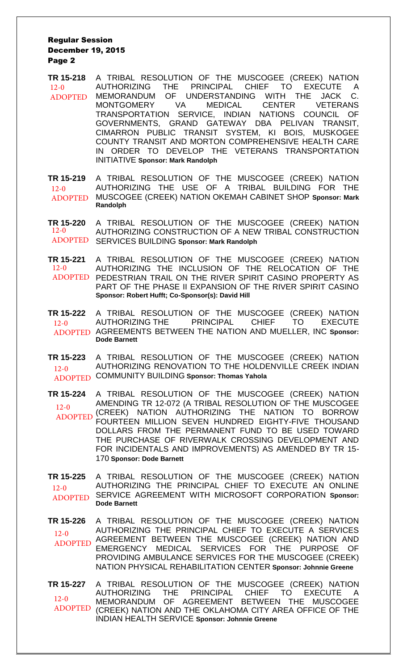## Regular Session December 19, 2015 Page 2

**TR 15-218** A TRIBAL RESOLUTION OF THE MUSCOGEE (CREEK) NATION AUTHORIZING THE PRINCIPAL CHIEF TO EXECUTE A MEMORANDUM OF UNDERSTANDING WITH THE JACK C. MONTGOMERY VA MEDICAL CENTER VETERANS TRANSPORTATION SERVICE, INDIAN NATIONS COUNCIL OF GOVERNMENTS, GRAND GATEWAY DBA PELIVAN TRANSIT, CIMARRON PUBLIC TRANSIT SYSTEM, KI BOIS, MUSKOGEE COUNTY TRANSIT AND MORTON COMPREHENSIVE HEALTH CARE IN ORDER TO DEVELOP THE VETERANS TRANSPORTATION INITIATIVE **Sponsor: Mark Randolph**  $12-0$ ADOPTED

**TR 15-219** A TRIBAL RESOLUTION OF THE MUSCOGEE (CREEK) NATION AUTHORIZING THE USE OF A TRIBAL BUILDING FOR THE MUSCOGEE (CREEK) NATION OKEMAH CABINET SHOP **Sponsor: Mark Randolph**  12-0 ADOPTED

**TR 15-220** A TRIBAL RESOLUTION OF THE MUSCOGEE (CREEK) NATION AUTHORIZING CONSTRUCTION OF A NEW TRIBAL CONSTRUCTION SERVICES BUILDING **Sponsor: Mark Randolph** ADOPTED  $12 - 0$ 

**TR 15-221** A TRIBAL RESOLUTION OF THE MUSCOGEE (CREEK) NATION AUTHORIZING THE INCLUSION OF THE RELOCATION OF THE ADOPTED PEDESTRIAN TRAIL ON THE RIVER SPIRIT CASINO PROPERTY AS PART OF THE PHASE II EXPANSION OF THE RIVER SPIRIT CASINO **Sponsor: Robert Hufft; Co-Sponsor(s): David Hill**  12-0

- **TR 15-222** A TRIBAL RESOLUTION OF THE MUSCOGEE (CREEK) NATION AUTHORIZING THE PRINCIPAL CHIEF TO EXECUTE AGREEMENTS BETWEEN THE NATION AND MUELLER, INC **Sponsor:**  ADOPTED **Dode Barnett**  $12-0$
- **TR 15-223** A TRIBAL RESOLUTION OF THE MUSCOGEE (CREEK) NATION AUTHORIZING RENOVATION TO THE HOLDENVILLE CREEK INDIAN COMMUNITY BUILDING **Sponsor: Thomas Yahola** ADOPTED  $12-0$

**TR 15-224** A TRIBAL RESOLUTION OF THE MUSCOGEE (CREEK) NATION AMENDING TR 12-072 (A TRIBAL RESOLUTION OF THE MUSCOGEE (CREEK) NATION AUTHORIZING THE NATION TO BORROW FOURTEEN MILLION SEVEN HUNDRED EIGHTY-FIVE THOUSAND DOLLARS FROM THE PERMANENT FUND TO BE USED TOWARD THE PURCHASE OF RIVERWALK CROSSING DEVELOPMENT AND FOR INCIDENTALS AND IMPROVEMENTS) AS AMENDED BY TR 15- 170 **Sponsor: Dode Barnett**  $12 - 0$ ADOPTED

**TR 15-225** A TRIBAL RESOLUTION OF THE MUSCOGEE (CREEK) NATION AUTHORIZING THE PRINCIPAL CHIEF TO EXECUTE AN ONLINE SERVICE AGREEMENT WITH MICROSOFT CORPORATION **Sponsor: Dode Barnett**  $12-0$ ADOPTED

**TR 15-226** A TRIBAL RESOLUTION OF THE MUSCOGEE (CREEK) NATION AUTHORIZING THE PRINCIPAL CHIEF TO EXECUTE A SERVICES AGREEMENT BETWEEN THE MUSCOGEE (CREEK) NATION AND EMERGENCY MEDICAL SERVICES FOR THE PURPOSE OF PROVIDING AMBULANCE SERVICES FOR THE MUSCOGEE (CREEK) NATION PHYSICAL REHABILITATION CENTER **Sponsor: Johnnie Greene** 12-0 ADOPTED

**TR 15-227** A TRIBAL RESOLUTION OF THE MUSCOGEE (CREEK) NATION AUTHORIZING THE PRINCIPAL CHIEF TO EXECUTE A<br>MEMORANDUM OF AGREEMENT BETWEEN THE MUSCOGEE MEMORANDUM OF AGREEMENT (CREEK) NATION AND THE OKLAHOMA CITY AREA OFFICE OF THE INDIAN HEALTH SERVICE **Sponsor: Johnnie Greene** 12-0 ADOPTED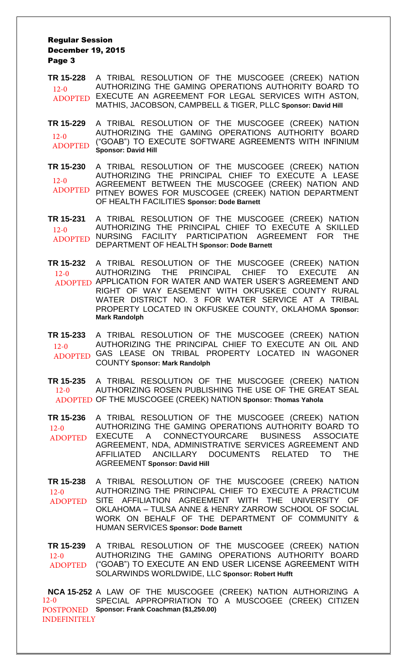## Regular Session December 19, 2015 Page 3

**TR 15-228** A TRIBAL RESOLUTION OF THE MUSCOGEE (CREEK) NATION AUTHORIZING THE GAMING OPERATIONS AUTHORITY BOARD TO ADOPTED EXECUTE AN AGREEMENT FOR LEGAL SERVICES WITH ASTON, MATHIS, JACOBSON, CAMPBELL & TIGER, PLLC **Sponsor: David Hill**  $12-0$ 

**TR 15-229** A TRIBAL RESOLUTION OF THE MUSCOGEE (CREEK) NATION AUTHORIZING THE GAMING OPERATIONS AUTHORITY BOARD ("GOAB") TO EXECUTE SOFTWARE AGREEMENTS WITH INFINIUM **Sponsor: David Hill**  $12-0$ ADOPTED

**TR 15-230** A TRIBAL RESOLUTION OF THE MUSCOGEE (CREEK) NATION AUTHORIZING THE PRINCIPAL CHIEF TO EXECUTE A LEASE AGREEMENT BETWEEN THE MUSCOGEE (CREEK) NATION AND PITNEY BOWES FOR MUSCOGEE (CREEK) NATION DEPARTMENT OF HEALTH FACILITIES **Sponsor: Dode Barnett**  $12-0$ ADOPTED

**TR 15-231** A TRIBAL RESOLUTION OF THE MUSCOGEE (CREEK) NATION AUTHORIZING THE PRINCIPAL CHIEF TO EXECUTE A SKILLED NURSING FACILITY PARTICIPATION AGREEMENT FOR THE DEPARTMENT OF HEALTH **Sponsor: Dode Barnett** 12-0 ADOPTED NURSING FACILITY

**TR 15-232** A TRIBAL RESOLUTION OF THE MUSCOGEE (CREEK) NATION AUTHORIZING THE PRINCIPAL CHIEF TO EXECUTE AN ADOPTED APPLICATION FOR WATER AND WATER USER'S AGREEMENT AND RIGHT OF WAY EASEMENT WITH OKFUSKEE COUNTY RURAL WATER DISTRICT NO. 3 FOR WATER SERVICE AT A TRIBAL PROPERTY LOCATED IN OKFUSKEE COUNTY, OKLAHOMA **Sponsor: Mark Randolph** 12-0

**TR 15-233** A TRIBAL RESOLUTION OF THE MUSCOGEE (CREEK) NATION AUTHORIZING THE PRINCIPAL CHIEF TO EXECUTE AN OIL AND ADOPTED GAS LEASE ON TRIBAL PROPERTY LOCATED IN WAGONER COUNTY **Sponsor: Mark Randolph**  $12 - 0$ 

**TR 15-235** A TRIBAL RESOLUTION OF THE MUSCOGEE (CREEK) NATION AUTHORIZING ROSEN PUBLISHING THE USE OF THE GREAT SEAL ADOPTED OF THE MUSCOGEE (CREEK) NATION Sponsor: Thomas Yahola  $12-0$ 

**TR 15-236** A TRIBAL RESOLUTION OF THE MUSCOGEE (CREEK) NATION AUTHORIZING THE GAMING OPERATIONS AUTHORITY BOARD TO EXECUTE A CONNECTYOURCARE BUSINESS ASSOCIATE AGREEMENT, NDA, ADMINISTRATIVE SERVICES AGREEMENT AND AFFILIATED ANCILLARY DOCUMENTS RELATED TO THE AGREEMENT **Sponsor: David Hill**  $12-0$ ADOPTED

**TR 15-238** A TRIBAL RESOLUTION OF THE MUSCOGEE (CREEK) NATION AUTHORIZING THE PRINCIPAL CHIEF TO EXECUTE A PRACTICUM SITE AFFILIATION AGREEMENT WITH THE UNIVERSITY OF OKLAHOMA – TULSA ANNE & HENRY ZARROW SCHOOL OF SOCIAL WORK ON BEHALF OF THE DEPARTMENT OF COMMUNITY & HUMAN SERVICES **Sponsor: Dode Barnett** 12-0 ADOPTED

**TR 15-239** A TRIBAL RESOLUTION OF THE MUSCOGEE (CREEK) NATION AUTHORIZING THE GAMING OPERATIONS AUTHORITY BOARD ("GOAB") TO EXECUTE AN END USER LICENSE AGREEMENT WITH SOLARWINDS WORLDWIDE, LLC **Sponsor: Robert Hufft** 12-0 ADOPTED

**NCA 15-252** A LAW OF THE MUSCOGEE (CREEK) NATION AUTHORIZING A SPECIAL APPROPRIATION TO A MUSCOGEE (CREEK) CITIZEN **Sponsor: Frank Coachman (\$1,250.00)**  POSTPONED 12-0 INDEFINITELY